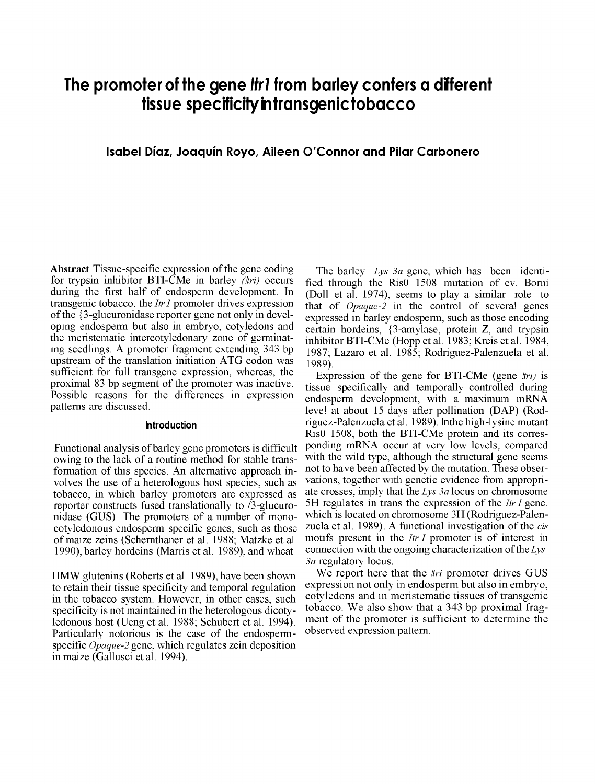# **The promoter of the gene Ifrl from barley confers a diferent tissue specificity in transgenictobacco**

# Isabel Díaz, Joaquín Rovo, Aileen O'Connor and Pilar Carbonero

A bstract Tissue-specific expression of the gene coding for trypsin inhibitor BTI-CMe in barley  $(\pi r)$  occurs during the first half of endosperm development. In transgenic tobacco, the *Itr I* promoter drives expression of the {3-glucuronidase reporter gene not only in developing endosperm but also in embryo, cotyledons and the meristematic intercotyledonary zone of germinating seedlings. A promoter fragment extending 343 bp upstream of the translation initiation ATG codon was sufficient for full transgene expression, whereas, the proximal 83 bp segment of the promoter was inactive. Possible reasons for the differences in expression patterns are discussed.

#### **Introduction** owing to the lack of a routine method for stability of a routine method for stability  $\mathbf{r}$

Functional analysis of barley gene promoters is difficult owing to the lack of a routine method for stable transformation of this species. An alternative approach inreproduction of this species. An attenuative approach in volves the use of a neterological host species, such a number of  $\frac{1}{2}$ tobacco, in which barley promoters are expressed as reporter constructs fused translationally to  $/3$ -glucuronidase (GUS). The promoters of a number of mono-<br>cotyledonous endosperm specific genes, such as those of maize zeins (Schernthaner et al. 1988; Matzke et al. 1990), barley hordeins (Marris et al. 1989), and wheat

HMW glutenins (Roberts et al. 1989), have been shown to retain their tissue specificity and temporal regulation in the tobacco system. However, in other cases, such specificity is not maintained in the heterologous dicotyledonous host (Ueng et al. 1988; Schubert et al. 1994). Particularly notorious is the case of the endospermspecific *Opaque-2* gene, which regulates zein deposition in maize (Gallusci et al. 1994).

The barley Lys 3a gene, which has been identified through the Ris<sup>0</sup> 1508 mutation of cv. Borní (Doll et al. 1974), seems to play a similar role to that of  $Opaque-2$  in the control of several genes expressed in barley endosperm, such as those encoding certain hordeins, {3-amylase, protein Z, and trypsin inhibitor BTI-CMe (Hopp et al. 1983; Kreis et al. 1984, 1987; Lazaro et al. 1985; Rodriguez-Palenzuela et al.  $1989$ .

Expression of the gene for BTI-CMe (gene  $\pi r$ ) is tissue specifically and temporally controlled during endosperm development, with a maximum mRNA leve! at about 15 days after pollination (DAP) (Rodriguez-Palenzuela et al. 1989). Inthe high-lysine mutant Ris0 1508, both the BTI-CMe protein and its corresponding mRNA occur at very low levels, compared with the wild type, although the structural gene seems not to have been affected by the mutation. These observations, together with genetic evidence from appropriate crosses, imply that the  $Lys 3a$  locus on chromosome 5H regulates in trans the expression of the *Itr I* gene, thich is located on chromosome 3H (Rodriguez-Palenzuela et al. 1989). A functional investigation of the *cis* motifs present in the *Itr I* promoter is of interest in connection with the ongoing characterization of the Lys  $\alpha$  regulatory locus.

We report here that the *tri* promoter drives GUS expression not only in endosperm but also in embryo, cotyledons and in meristematic tissues of transgenic tobacco. We also show that a 343 bp proximal fragment of the promoter is sufficient to determine the observed expression pattern. observed expression pattern.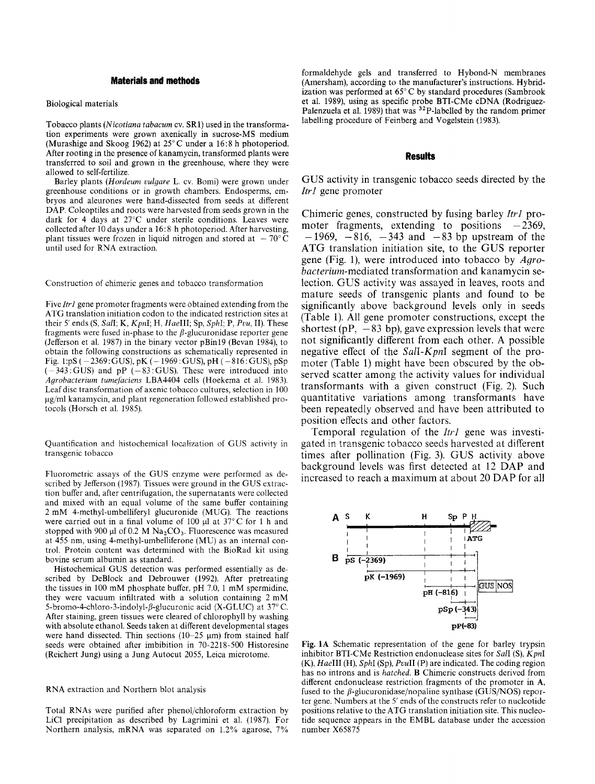### **Materials and methods**

#### **Biological materials**

Tobacco plants (Nicotiana tabacum cv. SR1) used in the transformation experiments were grown axenically in sucrose-MS medium (Murashige and Skoog 1962) at  $25^{\circ}$ C under a 16:8 h photoperiod. After rooting in the presence of kanamycin, transformed plants were transferred to soil and grown in the greenhouse, where they were allowed to self-fertilize.

Barley plants (Hordeum vulgare L. cv. Bomi) were grown under greenhouse conditions or in growth chambers. Endosperms, embryos and aleurones were hand-dissected from seeds at different DAP. Coleoptiles and roots were harvested from seeds grown in the dark for 4 days at  $27^{\circ}$ C under sterile conditions. Leaves were collected after 10 days under a 16:8 h photoperiod. After harvesting, plant tissues were frozen in liquid nitrogen and stored at  $-70^{\circ}$ C until used for RNA extraction.

Construction of chimeric genes and tobacco transformation

Five Itr1 gene promoter fragments were obtained extending from the ATG translation initiation codon to the indicated restriction sites at their 5' ends (S, Sall; K, KpnI; H, HaeIII; Sp, SphI; P, Pvu, II). These fragments were fused in-phase to the  $\beta$ -glucuronidase reporter gene (Jefferson et al. 1987) in the binary vector pBin19 (Bevan 1984), to obtain the following constructions as schematically represented in Fig. 1:pS ( $-2369$ : GUS), pK ( $-1969$ : GUS), pH ( $-816$ : GUS), pSp  $(-343 \cdot GUS)$  and pP  $(-83 \cdot GUS)$ . These were introduced into Agrobacterium tumefaciens LBA4404 cells (Hoekema et al. 1983). Leaf disc transformation of axenic tobacco cultures, selection in 100 µg/ml kanamycin, and plant regeneration followed established protocols (Horsch et al. 1985).

Quantification and histochemical localization of GUS activity in transgenic tobacco

Fluorometric assays of the GUS enzyme were performed as described by Jefferson (1987). Tissues were ground in the GUS extraction buffer and, after centrifugation, the supernatants were collected and mixed with an equal volume of the same buffer containing 2 mM 4-methyl-umbelliferyl glucuronide (MUG). The reactions were carried out in a final volume of 100 µl at 37°C for 1 h and stopped with 900  $\mu$ l of 0.2 M Na<sub>2</sub>CO<sub>3</sub>. Fluorescence was measured at 455 nm, using 4-methyl-umbelliferone (MU) as an internal control. Protein content was determined with the BioRad kit using bovine serum albumin as standard.

Histochemical GUS detection was performed essentially as described by DeBlock and Debrouwer (1992). After pretreating the tissues in 100 mM phosphate buffer, pH 7.0, 1 mM spermidine, they were vacuum infiltrated with a solution containing 2 mM 5-bromo-4-chloro-3-indolyl-*ß*-glucuronic acid (X-GLUC) at 37°C. After staining, green tissues were cleared of chlorophyll by washing with absolute ethanol. Seeds taken at different developmental stages were hand dissected. Thin sections  $(10-25 \mu m)$  from stained half seeds were obtained after imbibition in 70-2218-500 Historesine (Reichert Jung) using a Jung Autocut 2055, Leica microtome.

#### RNA extraction and Northern blot analysis

Total RNAs were purified after phenol/chloroform extraction by LiCl precipitation as described by Lagrimini et al. (1987). For Northern analysis, mRNA was separated on 1.2% agarose, 7%

formaldehyde gels and transferred to Hybond-N membranes (Amersham), according to the manufacturer's instructions. Hybridization was performed at 65°C by standard procedures (Sambrook et al. 1989), using as specific probe BTI-CMe cDNA (Rodriguez-Palenzuela et al. 1989) that was <sup>32</sup>P-labelled by the random primer labelling procedure of Feinberg and Vogelstein (1983).

## **Results**

GUS activity in transgenic tobacco seeds directed by the *Itr1* gene promoter

Chimeric genes, constructed by fusing barley Itrl promoter fragments, extending to positions  $-2369$ ,  $-1969$ ,  $-816$ ,  $-343$  and  $-83$  bp upstream of the ATG translation initiation site, to the GUS reporter gene (Fig. 1), were introduced into tobacco by Agrobacterium-mediated transformation and kanamycin selection. GUS activity was assayed in leaves, roots and mature seeds of transgenic plants and found to be significantly above background levels only in seeds (Table 1). All gene promoter constructions, except the shortest (pP,  $-83$  bp), gave expression levels that were not significantly different from each other. A possible negative effect of the Sall-KpnI segment of the promoter (Table 1) might have been obscured by the observed scatter among the activity values for individual transformants with a given construct (Fig. 2). Such quantitative variations among transformants have been repeatedly observed and have been attributed to position effects and other factors.

Temporal regulation of the Itr1 gene was investigated in transgenic tobacco seeds harvested at different times after pollination (Fig. 3). GUS activity above background levels was first detected at 12 DAP and increased to reach a maximum at about 20 DAP for all



Fig. 1A Schematic representation of the gene for barley trypsin inhibitor BTI-CMe Restriction endonuclease sites for SalI (S), KpnI (K), HaeIII (H), SphI (Sp), PvuII (P) are indicated. The coding region has no introns and is hatched. B Chimeric constructs derived from different endonuclease restriction fragments of the promoter in A, fused to the  $\beta$ -glucuronidase/nopaline synthase (GUS/NOS) reporter gene. Numbers at the 5' ends of the constructs refer to nucleotide positions relative to the ATG translation initiation site. This nucleotide sequence appears in the EMBL database under the accession number X65875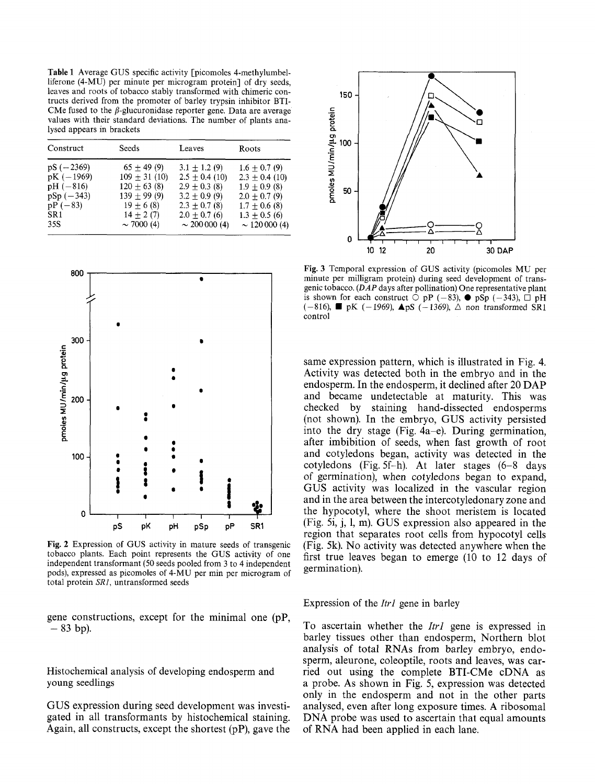Table 1 Average GUS specific activity [picomoles 4-methylumbelliferone (4-MU) per minute per microgram protein] of dry seeds, leaves and roots of tobacco stably transformed with chimeric contructs derived from the promoter of barley trypsin inhibitor BTI-CMe fused to the  $\beta$ -glucuronidase reporter gene. Data are average values with their standard deviations. The number of plants analysed appears in brackets

| $pS(-2369)$                                                                     | $65 + 49(9)$                                                                                             |                                                                                                                                        |                                                                                                                                            |
|---------------------------------------------------------------------------------|----------------------------------------------------------------------------------------------------------|----------------------------------------------------------------------------------------------------------------------------------------|--------------------------------------------------------------------------------------------------------------------------------------------|
| $pK(-1969)$<br>$pH(-816)$<br>$pSp(-343)$<br>$pP(-83)$<br>SR <sub>1</sub><br>35S | $109 + 31(10)$<br>$120 \pm 63$ (8)<br>$139 \pm 99(9)$<br>$19 \pm 6(8)$<br>$14 + 2(7)$<br>$\sim$ 7000 (4) | $3.1 + 1.2(9)$<br>$2.5 \pm 0.4$ (10)<br>$2.9 \pm 0.3$ (8)<br>$3.2 + 0.9(9)$<br>$2.3 + 0.7(8)$<br>$2.0 \pm 0.7$ (6)<br>$\sim 200000(4)$ | $1.6 \pm 0.7(9)$<br>$2.3 \pm 0.4$ (10)<br>$1.9 + 0.9(8)$<br>$2.0 \pm 0.7$ (9)<br>$1.7 \pm 0.6$ (8)<br>$1.3 + 0.5(6)$<br>$\sim$ 120 000 (4) |



Fig. 2 Expression of GUS activity in mature seeds of transgenic tobacco plants. Each point represents the GUS activity of one independent transformant (50 seeds pooled from 3 to 4 independent pods), expressed as picomoles of 4-MU per min per microgram of total protein SR1, untransformed seeds

gene constructions, except for the minimal one  $(pP)$ ,  $-83$  bp).

Histochemical analysis of developing endosperm and young seedlings

GUS expression during seed development was investigated in all transformants by histochemical staining. Again, all constructs, except the shortest  $(pP)$ , gave the



Fig. 3 Temporal expression of GUS activity (picomoles MU per minute per milligram protein) during seed development of transgenic tobacco. (DAP days after pollination) One representative plant is shown for each construct  $\overline{O}$  pP (-83),  $\bullet$  pSp (-343),  $\overline{O}$  pH  $(-816)$ ,  $\blacksquare$  pK  $(-1969)$ ,  $\blacktriangle$  pS  $(-1369)$ ,  $\triangle$  non transformed SR1 control

same expression pattern, which is illustrated in Fig. 4. Activity was detected both in the embryo and in the endosperm. In the endosperm, it declined after 20 DAP and became undetectable at maturity. This was checked by staining hand-dissected endosperms (not shown). In the embryo, GUS activity persisted into the dry stage (Fig. 4a–e). During germination, after imbibition of seeds, when fast growth of root and cotyledons began, activity was detected in the cotyledons (Fig. 5f-h). At later stages (6-8 days of germination), when cotyledons began to expand, GUS activity was localized in the vascular region and in the area between the intercotyledonary zone and the hypocotyl, where the shoot meristem is located (Fig. 5i, j, l, m). GUS expression also appeared in the region that separates root cells from hypocotyl cells (Fig. 5k). No activity was detected anywhere when the first true leaves began to emerge (10 to 12 days of germination).

Expression of the Itr1 gene in barley

To ascertain whether the *Itr1* gene is expressed in barley tissues other than endosperm, Northern blot analysis of total RNAs from barley embryo, endosperm, aleurone, coleoptile, roots and leaves, was carried out using the complete BTI-CMe cDNA as a probe. As shown in Fig. 5, expression was detected only in the endosperm and not in the other parts analysed, even after long exposure times. A ribosomal DNA probe was used to ascertain that equal amounts of RNA had been applied in each lane.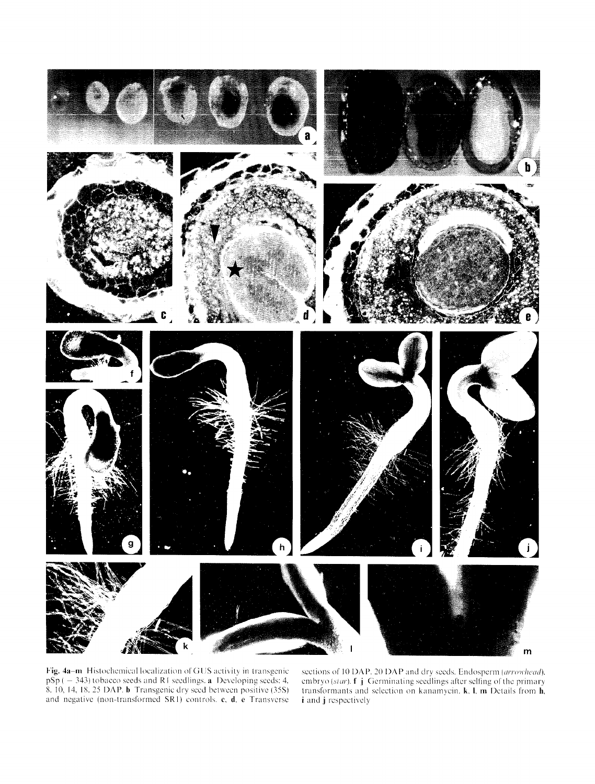

Fig. 4a-m Histochemical localization of GUS activity in transgenic  $pSp(-343)$  tobacco seeds and R1 seedlings, a Developing seeds: 4, 8. 10, 14, 18. 25 DAP. b Transgenic dry seed between positive (35S) and negative (non-transformed SRI) controls, c, d. e Transverse

sections of 10 DAP. 20 DAP and dry seeds. Endosperm (arrowhead). embryo *(star),* f j Germinating seedlings after selling of the primary transformants and selection on kanamycin. k, I. m Details from h, i and j respectively